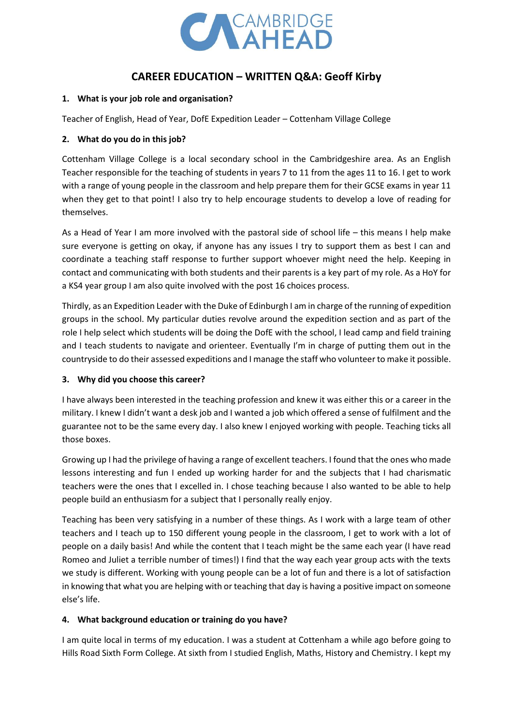

# **CAREER EDUCATION – WRITTEN Q&A: Geoff Kirby**

#### **1. What is your job role and organisation?**

Teacher of English, Head of Year, DofE Expedition Leader – Cottenham Village College

#### **2. What do you do in this job?**

Cottenham Village College is a local secondary school in the Cambridgeshire area. As an English Teacher responsible for the teaching of students in years 7 to 11 from the ages 11 to 16. I get to work with a range of young people in the classroom and help prepare them for their GCSE exams in year 11 when they get to that point! I also try to help encourage students to develop a love of reading for themselves.

As a Head of Year I am more involved with the pastoral side of school life – this means I help make sure everyone is getting on okay, if anyone has any issues I try to support them as best I can and coordinate a teaching staff response to further support whoever might need the help. Keeping in contact and communicating with both students and their parents is a key part of my role. As a HoY for a KS4 year group I am also quite involved with the post 16 choices process.

Thirdly, as an Expedition Leader with the Duke of Edinburgh I am in charge of the running of expedition groups in the school. My particular duties revolve around the expedition section and as part of the role I help select which students will be doing the DofE with the school, I lead camp and field training and I teach students to navigate and orienteer. Eventually I'm in charge of putting them out in the countryside to do their assessed expeditions and I manage the staff who volunteer to make it possible.

#### **3. Why did you choose this career?**

I have always been interested in the teaching profession and knew it was either this or a career in the military. I knew I didn't want a desk job and I wanted a job which offered a sense of fulfilment and the guarantee not to be the same every day. I also knew I enjoyed working with people. Teaching ticks all those boxes.

Growing up I had the privilege of having a range of excellent teachers. I found that the ones who made lessons interesting and fun I ended up working harder for and the subjects that I had charismatic teachers were the ones that I excelled in. I chose teaching because I also wanted to be able to help people build an enthusiasm for a subject that I personally really enjoy.

Teaching has been very satisfying in a number of these things. As I work with a large team of other teachers and I teach up to 150 different young people in the classroom, I get to work with a lot of people on a daily basis! And while the content that I teach might be the same each year (I have read Romeo and Juliet a terrible number of times!) I find that the way each year group acts with the texts we study is different. Working with young people can be a lot of fun and there is a lot of satisfaction in knowing that what you are helping with or teaching that day is having a positive impact on someone else's life.

#### **4. What background education or training do you have?**

I am quite local in terms of my education. I was a student at Cottenham a while ago before going to Hills Road Sixth Form College. At sixth from I studied English, Maths, History and Chemistry. I kept my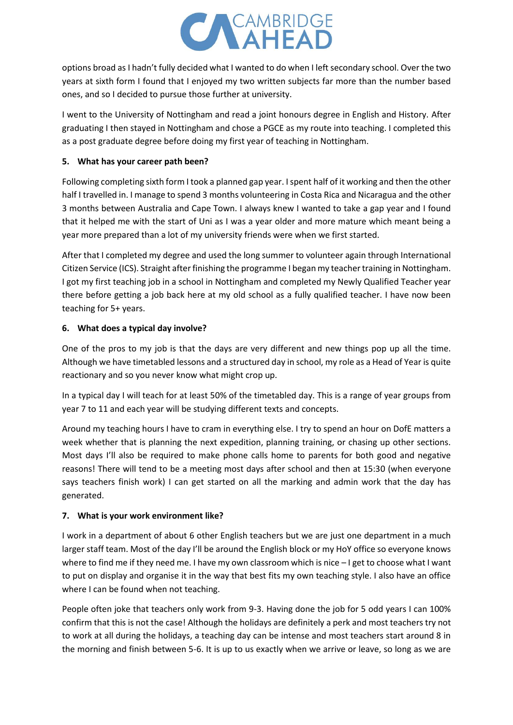

options broad as I hadn't fully decided what I wanted to do when I left secondary school. Over the two years at sixth form I found that I enjoyed my two written subjects far more than the number based ones, and so I decided to pursue those further at university.

I went to the University of Nottingham and read a joint honours degree in English and History. After graduating I then stayed in Nottingham and chose a PGCE as my route into teaching. I completed this as a post graduate degree before doing my first year of teaching in Nottingham.

#### **5. What has your career path been?**

Following completing sixth form I took a planned gap year. I spent half of it working and then the other half I travelled in. I manage to spend 3 months volunteering in Costa Rica and Nicaragua and the other 3 months between Australia and Cape Town. I always knew I wanted to take a gap year and I found that it helped me with the start of Uni as I was a year older and more mature which meant being a year more prepared than a lot of my university friends were when we first started.

After that I completed my degree and used the long summer to volunteer again through International Citizen Service (ICS). Straight after finishing the programme I began my teacher training in Nottingham. I got my first teaching job in a school in Nottingham and completed my Newly Qualified Teacher year there before getting a job back here at my old school as a fully qualified teacher. I have now been teaching for 5+ years.

#### **6. What does a typical day involve?**

One of the pros to my job is that the days are very different and new things pop up all the time. Although we have timetabled lessons and a structured day in school, my role as a Head of Year is quite reactionary and so you never know what might crop up.

In a typical day I will teach for at least 50% of the timetabled day. This is a range of year groups from year 7 to 11 and each year will be studying different texts and concepts.

Around my teaching hours I have to cram in everything else. I try to spend an hour on DofE matters a week whether that is planning the next expedition, planning training, or chasing up other sections. Most days I'll also be required to make phone calls home to parents for both good and negative reasons! There will tend to be a meeting most days after school and then at 15:30 (when everyone says teachers finish work) I can get started on all the marking and admin work that the day has generated.

#### **7. What is your work environment like?**

I work in a department of about 6 other English teachers but we are just one department in a much larger staff team. Most of the day I'll be around the English block or my HoY office so everyone knows where to find me if they need me. I have my own classroom which is nice – I get to choose what I want to put on display and organise it in the way that best fits my own teaching style. I also have an office where I can be found when not teaching.

People often joke that teachers only work from 9-3. Having done the job for 5 odd years I can 100% confirm that this is not the case! Although the holidays are definitely a perk and most teachers try not to work at all during the holidays, a teaching day can be intense and most teachers start around 8 in the morning and finish between 5-6. It is up to us exactly when we arrive or leave, so long as we are